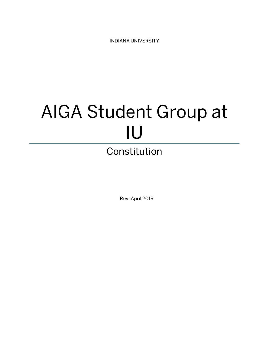INDIANA UNIVERSITY

# AIGA Student Group at IU Constitution

Rev. April 2019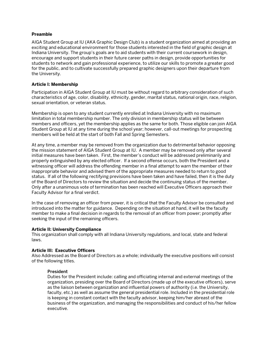# **Preamble**

AIGA Student Group at IU (AKA Graphic Design Club) is a student organization aimed at providing an exciting and educational environment for those students interested in the field of graphic design at Indiana University. The group's goals are to aid students with their current coursework in design, encourage and support students in their future career paths in design, provide opportunities for students to network and gain professional experience, to utilize our skills to promote a greater good for the public, and to cultivate successfully prepared graphic designers upon their departure from the University.

# **Article I: Membership**

Participation in AIGA Student Group at IU must be without regard to arbitrary consideration of such characteristics of age, color, disability, ethnicity, gender, marital status, national origin, race, religion, sexual orientation, or veteran status.

Membership is open to any student currently enrolled at Indiana University with no maximum limitation in total membership number. The only division in membership status will be between members and officers, yet the membership applies as the same for both. Those eligible can join AIGA Student Group at IU at any time during the school year; however, call-out meetings for prospecting members will be held at the start of both Fall and Spring Semesters.

At any time, a member may be removed from the organization due to detrimental behavior opposing the mission statement of AIGA Student Group at IU. A member may be removed only after several initial measures have been taken. First, the member's conduct will be addressed preliminarily and properly extinguished by any elected officer. If a second offense occurs, both the President and a witnessing officer will address the offending member in a final attempt to warn the member of their inappropriate behavior and advised them of the appropriate measures needed to return to good status. If all of the following rectifying previsions have been taken and have failed, then it is the duty of the Board of Directors to review the situation and decide the continuing status of the member. Only after a unanimous vote of termination has been reached will Executive Officers approach their Faculty Advisor for a final verdict.

In the case of removing an officer from power, it is critical that the Faculty Advisor be consulted and introduced into the matter for guidance. Depending on the situation at hand, it will be the faculty member to make a final decision in regards to the removal of an officer from power; promptly after seeking the input of the remaining officers.

## **Article II: University Compliance**

This organization shall comply with all Indiana University regulations, and local, state and federal laws.

## **Article III: Executive Officers**

Also Addressed as the Board of Directors as a whole; individually the executive positions will consist of the following titles.

## President

Duties for the President include: calling and officiating internal and external meetings of the organization, presiding over the Board of Directors (made up of the executive officers), serve as the liaison between organization and influential powers of authority (i.e. the University, faculty, etc.) as well as assume the general presidential role. Included in the presidential role is keeping in constant contact with the faculty advisor, keeping him/her abreast of the business of the organization, and managing the responsibilities and conduct of his/her fellow executive.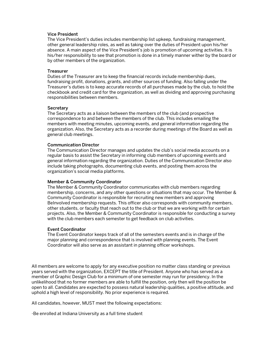## Vice President

The Vice President's duties includes membership list upkeep, fundraising management, other general leadership roles, as well as taking over the duties of President upon his/her absence. A main aspect of the Vice President's job is promotion of upcoming activities. It is his/her responsibility to see that promotion is done in a timely manner wither by the board or by other members of the organization.

#### **Treasurer**

Duties of the Treasurer are to keep the financial records include membership dues, fundraising profit, donations, grants, and other sources of funding. Also falling under the Treasurer's duties is to keep accurate records of all purchases made by the club, to hold the checkbook and credit card for the organization, as well as dividing and approving purchasing responsibilities between members.

#### **Secretary**

The Secretary acts as a liaison between the members of the club (and prospective correspondence to and between the members of the club. This includes emailing the members with meeting minutes, upcoming events, and general information regarding the organization. Also, the Secretary acts as a recorder during meetings of the Board as well as general club meetings.

#### Communication Director

The Communication Director manages and updates the club's social media accounts on a regular basis to assist the Secretary in informing club members of upcoming events and general information regarding the organization. Duties of the Communication Director also include taking photographs, documenting club events, and posting them across the organization's social media platforms.

## Member & Community Coordinator

The Member & Community Coordinator communicates with club members regarding membership, concerns, and any other questions or situations that may occur. The Member & Community Coordinator is responsible for recruiting new members and approving BeInvolved membership requests. This officer also corresponds with community members, other students, or faculty that reach out to the club or that we are working with for certain projects. Also, the Member & Community Coordinator is responsible for conducting a survey with the club members each semester to get feedback on club activities.

#### Event Coordinator

The Event Coordinator keeps track of all of the semesters events and is in charge of the major planning and correspondence that is involved with planning events. The Event Coordinator will also serve as an assistant in planning officer workshops.

All members are welcome to apply for any executive position no matter class standing or previous years served with the organization, EXCEPT the title of President. Anyone who has served as a member of Graphic Design Club for a minimum of one semester may run for presidency. In the unlikelihood that no former members are able to fulfill the position, only then will the position be open to all. Candidates are expected to possess natural leadership qualities, a positive attitude, and uphold a high level of responsibility. No prior experience is required.

All candidates, however, MUST meet the following expectations:

-Be enrolled at Indiana University as a full time student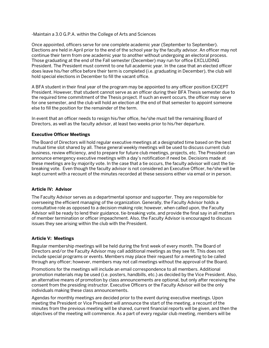-Maintain a 3.0 G.P.A. within the College of Arts and Sciences

Once appointed, officers serve for one complete academic year (September to September). Elections are held in April prior to the end of the school year by the faculty advisor. An officer may not continue their term from one academic year to another without undergoing an electoral process. Those graduating at the end of the Fall semester (December) may run for office EXCLUDING President. The President must commit to one full academic year. In the case that an elected officer does leave his/her office before their term is completed (i.e. graduating in December), the club will hold special elections in December to fill the vacant office.

A BFA student in their final year of the program may be appointed to any officer position EXCEPT President. However, that student cannot serve as an officer during their BFA Thesis semester due to the required time commitment of the Thesis project. If such an event occurs, the officer may serve for one semester, and the club will hold an election at the end of that semester to appoint someone else to fill the position for the remainder of the term.

In event that an officer needs to resign his/her office, he/she must tell the remaining Board of Directors, as well as the faculty advisor, at least two weeks prior to his/her departure.

# **Executive Officer Meetings**

The Board of Directors will hold regular executive meetings at a designated time based on the best mutual time slot shared by all. These general weekly meetings will be used to discuss current club business, review efficiency, and to prepare for future club meetings, projects, etc. The President can announce emergency executive meetings with a day's notification if need be. Decisions made at these meetings are by majority vote. In the case that a tie occurs, the faculty advisor will cast the tiebreaking vote. Even though the faculty advisor is not considered an Executive Officer, he/she will be kept current with a recount of the minutes recorded at these sessions either via email or in person.

# **Article IV: Advisor**

The Faculty Advisor serves as a departmental sponsor and supporter. They are responsible for overseeing the efficient managing of the organization. Generally, the Faculty Advisor holds a consultative role as opposed to a decision-making role; however, when called upon, the Faculty Advisor will be ready to lend their guidance, tie-breaking vote, and provide the final say in all matters of member termination or officer impeachment. Also, the Faculty Advisor is encouraged to discuss issues they see arising within the club with the President.

# **Article V: Meetings**

Regular membership meetings will be held during the first week of every month. The Board of Directors and/or the Faculty Advisor may call additional meetings as they see fit. This does not include special programs or events. Members may place their request for a meeting to be called through any officer; however, members may not call meetings without the approval of the Board.

Promotions for the meetings will include an email correspondence to all members. Additional promotion materials may be used (i.e. posters, handbills, etc.) as decided by the Vice President. Also, an alternative means of promotion by class announcements are optional, but only after receiving the consent from the presiding instructor. Executive Officers or the Faculty Advisor will be the only individuals making these class announcements.

Agendas for monthly meetings are decided prior to the event during executive meetings. Upon meeting the President or Vice President will announce the start of the meeting, a recount of the minutes from the previous meeting will be shared, current financial reports will be given, and then the objectives of the meeting will commence. As a part of every regular club meeting, members will be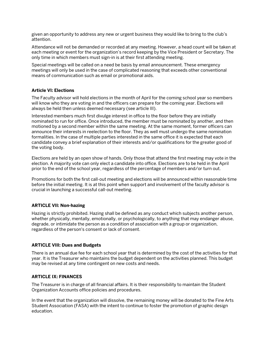given an opportunity to address any new or urgent business they would like to bring to the club's attention.

Attendance will not be demanded or recorded at any meeting. However, a head count will be taken at each meeting or event for the organization's record keeping by the Vice President or Secretary. The only time in which members must sign-in is at their first attending meeting.

Special meetings will be called on a need be basis by email announcement. These emergency meetings will only be used in the case of complicated reasoning that exceeds other conventional means of communication such as email or promotional aids.

# **Article VI: Elections**

The Faculty advisor will hold elections in the month of April for the coming school year so members will know who they are voting in and the officers can prepare for the coming year. Elections will always be held then unless deemed necessary (see article III).

Interested members much first divulge interest in office to the floor before they are initially nominated to run for office. Once introduced, the member must be nominated by another, and then motioned by a second member within the same meeting. At the same moment, former officers can announce their interests in reelection to the floor. They as well must undergo the same nomination formalities. In the case of multiple parties interested in the same office it is expected that each candidate convey a brief explanation of their interests and/or qualifications for the greater good of the voting body.

Elections are held by an open show of hands. Only those that attend the first meeting may vote in the election. A majority vote can only elect a candidate into office. Elections are to be held in the April prior to the end of the school year, regardless of the percentage of members and/or turn out.

Promotions for both the first call-out meeting and elections will be announced within reasonable time before the initial meeting. It is at this point when support and involvement of the faculty advisor is crucial in launching a successful call-out meeting.

# **ARTICLE VII: Non-hazing**

Hazing is strictly prohibited. Hazing shall be defined as any conduct which subjects another person, whether physically, mentally, emotionally, or psychologically, to anything that may endanger abuse, degrade, or intimidate the person as a condition of association with a group or organization, regardless of the person's consent or lack of consent.

# **ARTICLE VIII: Dues and Budgets**

There is an annual due fee for each school year that is determined by the cost of the activities for that year. It is the Treasurer who maintains the budget dependent on the activities planned. This budget may be revised at any time contingent on new costs and needs.

# **ARTICLE IX: FINANCES**

The Treasurer is in charge of all financial affairs. It is their responsibility to maintain the Student Organization Accounts office policies and procedures.

In the event that the organization will dissolve, the remaining money will be donated to the Fine Arts Student Association (FASA) with the intent to continue to foster the promotion of graphic design education.